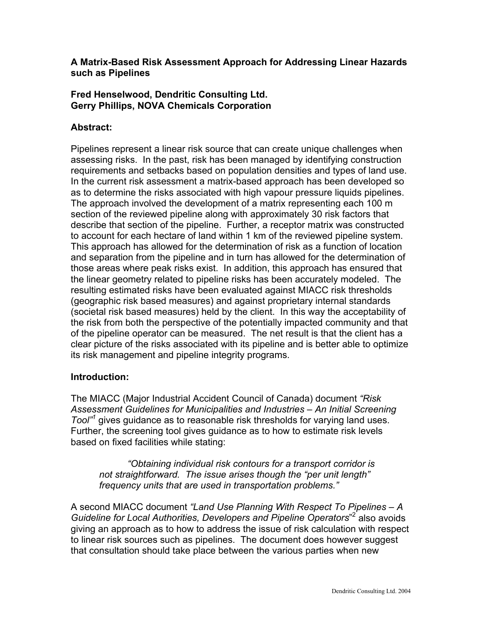#### **A Matrix-Based Risk Assessment Approach for Addressing Linear Hazards such as Pipelines**

## **Fred Henselwood, Dendritic Consulting Ltd. Gerry Phillips, NOVA Chemicals Corporation**

# **Abstract:**

Pipelines represent a linear risk source that can create unique challenges when assessing risks. In the past, risk has been managed by identifying construction requirements and setbacks based on population densities and types of land use. In the current risk assessment a matrix-based approach has been developed so as to determine the risks associated with high vapour pressure liquids pipelines. The approach involved the development of a matrix representing each 100 m section of the reviewed pipeline along with approximately 30 risk factors that describe that section of the pipeline. Further, a receptor matrix was constructed to account for each hectare of land within 1 km of the reviewed pipeline system. This approach has allowed for the determination of risk as a function of location and separation from the pipeline and in turn has allowed for the determination of those areas where peak risks exist. In addition, this approach has ensured that the linear geometry related to pipeline risks has been accurately modeled. The resulting estimated risks have been evaluated against MIACC risk thresholds (geographic risk based measures) and against proprietary internal standards (societal risk based measures) held by the client. In this way the acceptability of the risk from both the perspective of the potentially impacted community and that of the pipeline operator can be measured. The net result is that the client has a clear picture of the risks associated with its pipeline and is better able to optimize its risk management and pipeline integrity programs.

# **Introduction:**

The MIACC (Major Industrial Accident Council of Canada) document *"Risk Assessment Guidelines for Municipalities and Industries – An Initial Screening Tool"<sup>1</sup>* gives guidance as to reasonable risk thresholds for varying land uses. Further, the screening tool gives guidance as to how to estimate risk levels based on fixed facilities while stating:

*"Obtaining individual risk contours for a transport corridor is not straightforward. The issue arises though the "per unit length" frequency units that are used in transportation problems."* 

A second MIACC document *"Land Use Planning With Respect To Pipelines – A*  Guideline for Local Authorities, Developers and Pipeline Operators<sup>"2</sup> also avoids giving an approach as to how to address the issue of risk calculation with respect to linear risk sources such as pipelines. The document does however suggest that consultation should take place between the various parties when new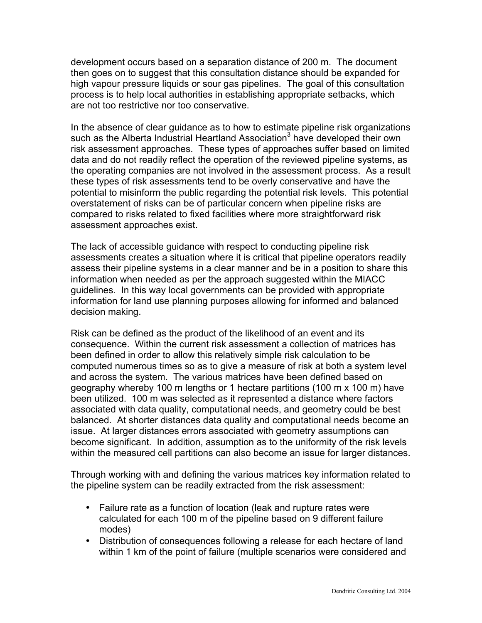development occurs based on a separation distance of 200 m. The document then goes on to suggest that this consultation distance should be expanded for high vapour pressure liquids or sour gas pipelines. The goal of this consultation process is to help local authorities in establishing appropriate setbacks, which are not too restrictive nor too conservative.

In the absence of clear guidance as to how to estimate pipeline risk organizations such as the Alberta Industrial Heartland Association<sup>3</sup> have developed their own risk assessment approaches. These types of approaches suffer based on limited data and do not readily reflect the operation of the reviewed pipeline systems, as the operating companies are not involved in the assessment process. As a result these types of risk assessments tend to be overly conservative and have the potential to misinform the public regarding the potential risk levels. This potential overstatement of risks can be of particular concern when pipeline risks are compared to risks related to fixed facilities where more straightforward risk assessment approaches exist.

The lack of accessible guidance with respect to conducting pipeline risk assessments creates a situation where it is critical that pipeline operators readily assess their pipeline systems in a clear manner and be in a position to share this information when needed as per the approach suggested within the MIACC guidelines. In this way local governments can be provided with appropriate information for land use planning purposes allowing for informed and balanced decision making.

Risk can be defined as the product of the likelihood of an event and its consequence. Within the current risk assessment a collection of matrices has been defined in order to allow this relatively simple risk calculation to be computed numerous times so as to give a measure of risk at both a system level and across the system. The various matrices have been defined based on geography whereby 100 m lengths or 1 hectare partitions (100 m x 100 m) have been utilized. 100 m was selected as it represented a distance where factors associated with data quality, computational needs, and geometry could be best balanced. At shorter distances data quality and computational needs become an issue. At larger distances errors associated with geometry assumptions can become significant. In addition, assumption as to the uniformity of the risk levels within the measured cell partitions can also become an issue for larger distances.

Through working with and defining the various matrices key information related to the pipeline system can be readily extracted from the risk assessment:

- Failure rate as a function of location (leak and rupture rates were calculated for each 100 m of the pipeline based on 9 different failure modes)
- Distribution of consequences following a release for each hectare of land within 1 km of the point of failure (multiple scenarios were considered and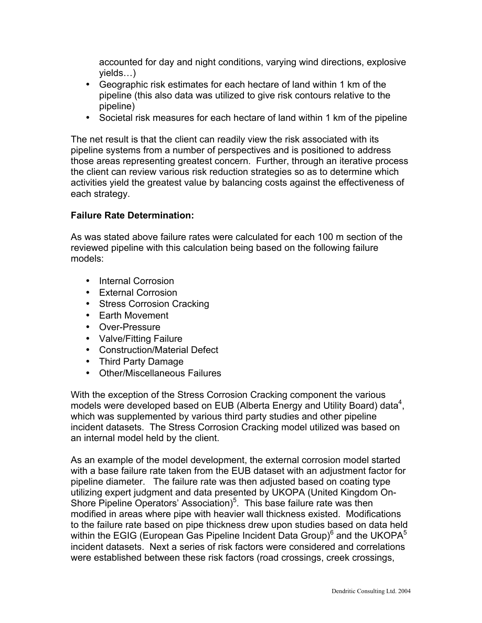accounted for day and night conditions, varying wind directions, explosive yields…)

- Geographic risk estimates for each hectare of land within 1 km of the pipeline (this also data was utilized to give risk contours relative to the pipeline)
- Societal risk measures for each hectare of land within 1 km of the pipeline

The net result is that the client can readily view the risk associated with its pipeline systems from a number of perspectives and is positioned to address those areas representing greatest concern. Further, through an iterative process the client can review various risk reduction strategies so as to determine which activities yield the greatest value by balancing costs against the effectiveness of each strategy.

## **Failure Rate Determination:**

As was stated above failure rates were calculated for each 100 m section of the reviewed pipeline with this calculation being based on the following failure models:

- Internal Corrosion
- External Corrosion
- Stress Corrosion Cracking
- Earth Movement
- Over-Pressure
- Valve/Fitting Failure
- Construction/Material Defect
- Third Party Damage
- Other/Miscellaneous Failures

With the exception of the Stress Corrosion Cracking component the various models were developed based on EUB (Alberta Energy and Utility Board) data<sup>4</sup>, which was supplemented by various third party studies and other pipeline incident datasets. The Stress Corrosion Cracking model utilized was based on an internal model held by the client.

As an example of the model development, the external corrosion model started with a base failure rate taken from the EUB dataset with an adjustment factor for pipeline diameter. The failure rate was then adjusted based on coating type utilizing expert judgment and data presented by UKOPA (United Kingdom On-Shore Pipeline Operators' Association)<sup>5</sup>. This base failure rate was then modified in areas where pipe with heavier wall thickness existed. Modifications to the failure rate based on pipe thickness drew upon studies based on data held within the EGIG (European Gas Pipeline Incident Data Group)<sup>6</sup> and the UKOPA<sup>5</sup> incident datasets. Next a series of risk factors were considered and correlations were established between these risk factors (road crossings, creek crossings,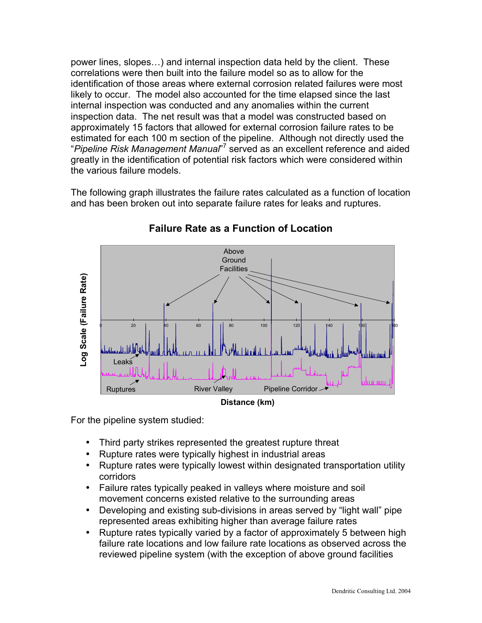power lines, slopes…) and internal inspection data held by the client. These correlations were then built into the failure model so as to allow for the identification of those areas where external corrosion related failures were most likely to occur. The model also accounted for the time elapsed since the last internal inspection was conducted and any anomalies within the current inspection data. The net result was that a model was constructed based on approximately 15 factors that allowed for external corrosion failure rates to be estimated for each 100 m section of the pipeline. Although not directly used the "Pipeline Risk Management Manual"<sup>7</sup> served as an excellent reference and aided greatly in the identification of potential risk factors which were considered within the various failure models.

The following graph illustrates the failure rates calculated as a function of location and has been broken out into separate failure rates for leaks and ruptures.



# **Failure Rate as a Function of Location**

For the pipeline system studied:

- Third party strikes represented the greatest rupture threat
- Rupture rates were typically highest in industrial areas
- Rupture rates were typically lowest within designated transportation utility corridors
- Failure rates typically peaked in valleys where moisture and soil movement concerns existed relative to the surrounding areas
- Developing and existing sub-divisions in areas served by "light wall" pipe represented areas exhibiting higher than average failure rates
- Rupture rates typically varied by a factor of approximately 5 between high failure rate locations and low failure rate locations as observed across the reviewed pipeline system (with the exception of above ground facilities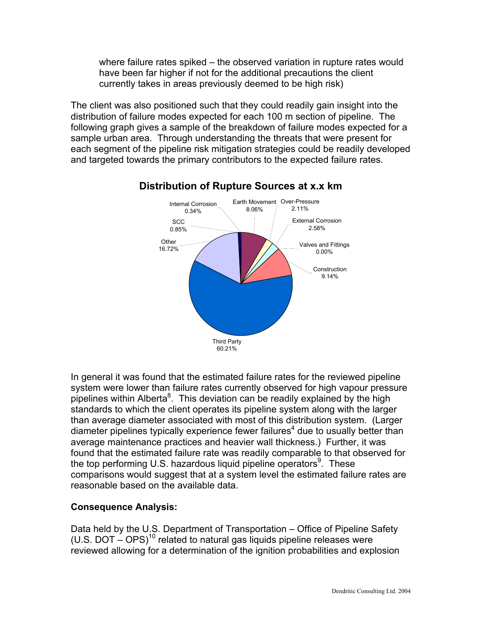where failure rates spiked – the observed variation in rupture rates would have been far higher if not for the additional precautions the client currently takes in areas previously deemed to be high risk)

The client was also positioned such that they could readily gain insight into the distribution of failure modes expected for each 100 m section of pipeline. The following graph gives a sample of the breakdown of failure modes expected for a sample urban area. Through understanding the threats that were present for each segment of the pipeline risk mitigation strategies could be readily developed and targeted towards the primary contributors to the expected failure rates.



## **Distribution of Rupture Sources at x.x km**

In general it was found that the estimated failure rates for the reviewed pipeline system were lower than failure rates currently observed for high vapour pressure pipelines within Alberta $8$ . This deviation can be readily explained by the high standards to which the client operates its pipeline system along with the larger than average diameter associated with most of this distribution system. (Larger diameter pipelines typically experience fewer failures<sup>4</sup> due to usually better than average maintenance practices and heavier wall thickness.) Further, it was found that the estimated failure rate was readily comparable to that observed for the top performing U.S. hazardous liquid pipeline operators<sup>9</sup>. These comparisons would suggest that at a system level the estimated failure rates are reasonable based on the available data.

# **Consequence Analysis:**

Data held by the U.S. Department of Transportation – Office of Pipeline Safety (U.S. DOT  $-$  OPS)<sup>10</sup> related to natural gas liquids pipeline releases were reviewed allowing for a determination of the ignition probabilities and explosion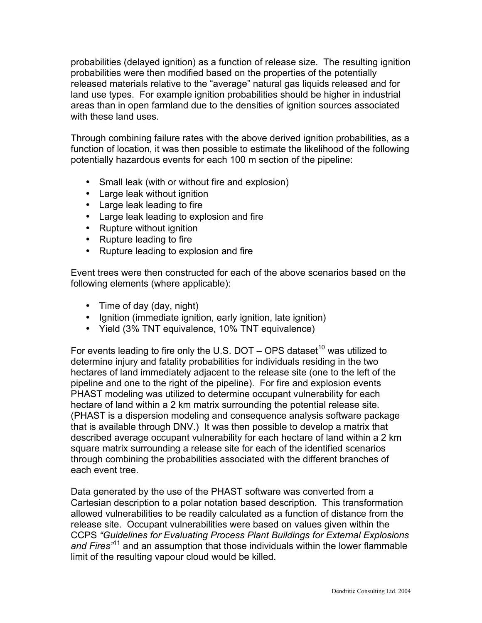probabilities (delayed ignition) as a function of release size. The resulting ignition probabilities were then modified based on the properties of the potentially released materials relative to the "average" natural gas liquids released and for land use types. For example ignition probabilities should be higher in industrial areas than in open farmland due to the densities of ignition sources associated with these land uses.

Through combining failure rates with the above derived ignition probabilities, as a function of location, it was then possible to estimate the likelihood of the following potentially hazardous events for each 100 m section of the pipeline:

- Small leak (with or without fire and explosion)
- Large leak without ignition
- Large leak leading to fire
- Large leak leading to explosion and fire
- Rupture without ignition
- Rupture leading to fire
- Rupture leading to explosion and fire

Event trees were then constructed for each of the above scenarios based on the following elements (where applicable):

- Time of day (day, night)
- Ignition (immediate ignition, early ignition, late ignition)
- Yield (3% TNT equivalence, 10% TNT equivalence)

For events leading to fire only the U.S. DOT – OPS dataset<sup>10</sup> was utilized to determine injury and fatality probabilities for individuals residing in the two hectares of land immediately adjacent to the release site (one to the left of the pipeline and one to the right of the pipeline). For fire and explosion events PHAST modeling was utilized to determine occupant vulnerability for each hectare of land within a 2 km matrix surrounding the potential release site. (PHAST is a dispersion modeling and consequence analysis software package that is available through DNV.) It was then possible to develop a matrix that described average occupant vulnerability for each hectare of land within a 2 km square matrix surrounding a release site for each of the identified scenarios through combining the probabilities associated with the different branches of each event tree.

Data generated by the use of the PHAST software was converted from a Cartesian description to a polar notation based description. This transformation allowed vulnerabilities to be readily calculated as a function of distance from the release site. Occupant vulnerabilities were based on values given within the CCPS *"Guidelines for Evaluating Process Plant Buildings for External Explosions and Fires"*11 and an assumption that those individuals within the lower flammable limit of the resulting vapour cloud would be killed.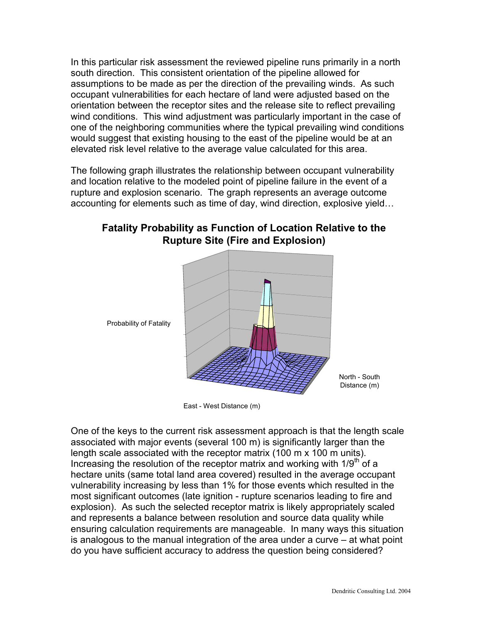In this particular risk assessment the reviewed pipeline runs primarily in a north south direction. This consistent orientation of the pipeline allowed for assumptions to be made as per the direction of the prevailing winds. As such occupant vulnerabilities for each hectare of land were adjusted based on the orientation between the receptor sites and the release site to reflect prevailing wind conditions. This wind adjustment was particularly important in the case of one of the neighboring communities where the typical prevailing wind conditions would suggest that existing housing to the east of the pipeline would be at an elevated risk level relative to the average value calculated for this area.

The following graph illustrates the relationship between occupant vulnerability and location relative to the modeled point of pipeline failure in the event of a rupture and explosion scenario. The graph represents an average outcome accounting for elements such as time of day, wind direction, explosive yield…



**Fatality Probability as Function of Location Relative to the Rupture Site (Fire and Explosion)**

East - West Distance (m)

One of the keys to the current risk assessment approach is that the length scale associated with major events (several 100 m) is significantly larger than the length scale associated with the receptor matrix (100 m x 100 m units). Increasing the resolution of the receptor matrix and working with  $1/9<sup>th</sup>$  of a hectare units (same total land area covered) resulted in the average occupant vulnerability increasing by less than 1% for those events which resulted in the most significant outcomes (late ignition - rupture scenarios leading to fire and explosion). As such the selected receptor matrix is likely appropriately scaled and represents a balance between resolution and source data quality while ensuring calculation requirements are manageable. In many ways this situation is analogous to the manual integration of the area under a curve – at what point do you have sufficient accuracy to address the question being considered?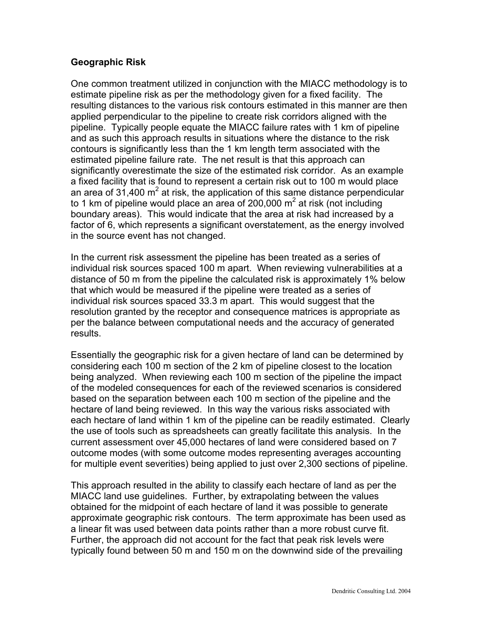## **Geographic Risk**

One common treatment utilized in conjunction with the MIACC methodology is to estimate pipeline risk as per the methodology given for a fixed facility. The resulting distances to the various risk contours estimated in this manner are then applied perpendicular to the pipeline to create risk corridors aligned with the pipeline. Typically people equate the MIACC failure rates with 1 km of pipeline and as such this approach results in situations where the distance to the risk contours is significantly less than the 1 km length term associated with the estimated pipeline failure rate. The net result is that this approach can significantly overestimate the size of the estimated risk corridor. As an example a fixed facility that is found to represent a certain risk out to 100 m would place an area of 31,400 m<sup>2</sup> at risk, the application of this same distance perpendicular to 1 km of pipeline would place an area of 200,000  $m^2$  at risk (not including boundary areas). This would indicate that the area at risk had increased by a factor of 6, which represents a significant overstatement, as the energy involved in the source event has not changed.

In the current risk assessment the pipeline has been treated as a series of individual risk sources spaced 100 m apart. When reviewing vulnerabilities at a distance of 50 m from the pipeline the calculated risk is approximately 1% below that which would be measured if the pipeline were treated as a series of individual risk sources spaced 33.3 m apart. This would suggest that the resolution granted by the receptor and consequence matrices is appropriate as per the balance between computational needs and the accuracy of generated results.

Essentially the geographic risk for a given hectare of land can be determined by considering each 100 m section of the 2 km of pipeline closest to the location being analyzed. When reviewing each 100 m section of the pipeline the impact of the modeled consequences for each of the reviewed scenarios is considered based on the separation between each 100 m section of the pipeline and the hectare of land being reviewed. In this way the various risks associated with each hectare of land within 1 km of the pipeline can be readily estimated. Clearly the use of tools such as spreadsheets can greatly facilitate this analysis. In the current assessment over 45,000 hectares of land were considered based on 7 outcome modes (with some outcome modes representing averages accounting for multiple event severities) being applied to just over 2,300 sections of pipeline.

This approach resulted in the ability to classify each hectare of land as per the MIACC land use guidelines. Further, by extrapolating between the values obtained for the midpoint of each hectare of land it was possible to generate approximate geographic risk contours. The term approximate has been used as a linear fit was used between data points rather than a more robust curve fit. Further, the approach did not account for the fact that peak risk levels were typically found between 50 m and 150 m on the downwind side of the prevailing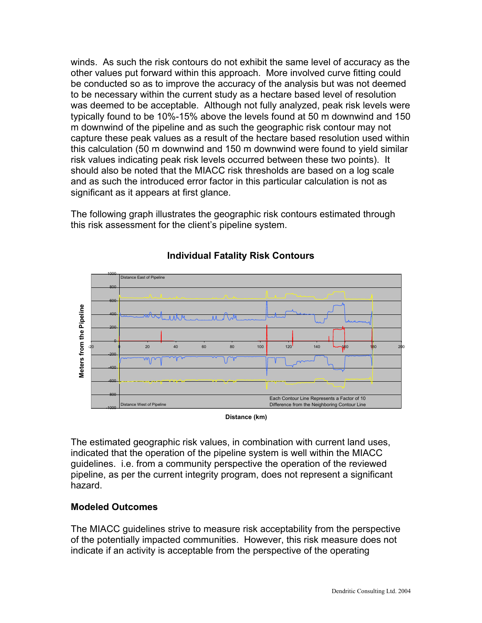winds. As such the risk contours do not exhibit the same level of accuracy as the other values put forward within this approach. More involved curve fitting could be conducted so as to improve the accuracy of the analysis but was not deemed to be necessary within the current study as a hectare based level of resolution was deemed to be acceptable. Although not fully analyzed, peak risk levels were typically found to be 10%-15% above the levels found at 50 m downwind and 150 m downwind of the pipeline and as such the geographic risk contour may not capture these peak values as a result of the hectare based resolution used within this calculation (50 m downwind and 150 m downwind were found to yield similar risk values indicating peak risk levels occurred between these two points). It should also be noted that the MIACC risk thresholds are based on a log scale and as such the introduced error factor in this particular calculation is not as significant as it appears at first glance.

The following graph illustrates the geographic risk contours estimated through this risk assessment for the client's pipeline system.



# **Individual Fatality Risk Contours**

The estimated geographic risk values, in combination with current land uses, indicated that the operation of the pipeline system is well within the MIACC guidelines. i.e. from a community perspective the operation of the reviewed pipeline, as per the current integrity program, does not represent a significant hazard.

#### **Modeled Outcomes**

The MIACC guidelines strive to measure risk acceptability from the perspective of the potentially impacted communities. However, this risk measure does not indicate if an activity is acceptable from the perspective of the operating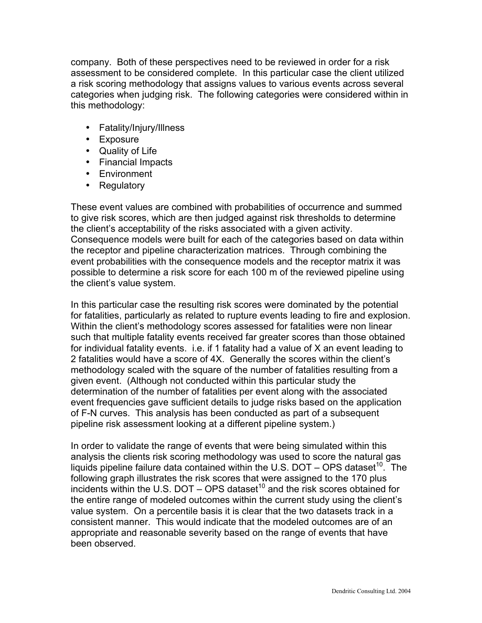company. Both of these perspectives need to be reviewed in order for a risk assessment to be considered complete. In this particular case the client utilized a risk scoring methodology that assigns values to various events across several categories when judging risk. The following categories were considered within in this methodology:

- Fatality/Injury/Illness
- Exposure
- Quality of Life
- Financial Impacts
- Environment
- Regulatory

These event values are combined with probabilities of occurrence and summed to give risk scores, which are then judged against risk thresholds to determine the client's acceptability of the risks associated with a given activity. Consequence models were built for each of the categories based on data within the receptor and pipeline characterization matrices. Through combining the event probabilities with the consequence models and the receptor matrix it was possible to determine a risk score for each 100 m of the reviewed pipeline using the client's value system.

In this particular case the resulting risk scores were dominated by the potential for fatalities, particularly as related to rupture events leading to fire and explosion. Within the client's methodology scores assessed for fatalities were non linear such that multiple fatality events received far greater scores than those obtained for individual fatality events. i.e. if 1 fatality had a value of X an event leading to 2 fatalities would have a score of 4X. Generally the scores within the client's methodology scaled with the square of the number of fatalities resulting from a given event. (Although not conducted within this particular study the determination of the number of fatalities per event along with the associated event frequencies gave sufficient details to judge risks based on the application of F-N curves. This analysis has been conducted as part of a subsequent pipeline risk assessment looking at a different pipeline system.)

In order to validate the range of events that were being simulated within this analysis the clients risk scoring methodology was used to score the natural gas liquids pipeline failure data contained within the U.S. DOT – OPS dataset<sup>10</sup>. The following graph illustrates the risk scores that were assigned to the 170 plus incidents within the U.S. DOT – OPS dataset<sup>10</sup> and the risk scores obtained for the entire range of modeled outcomes within the current study using the client's value system. On a percentile basis it is clear that the two datasets track in a consistent manner. This would indicate that the modeled outcomes are of an appropriate and reasonable severity based on the range of events that have been observed.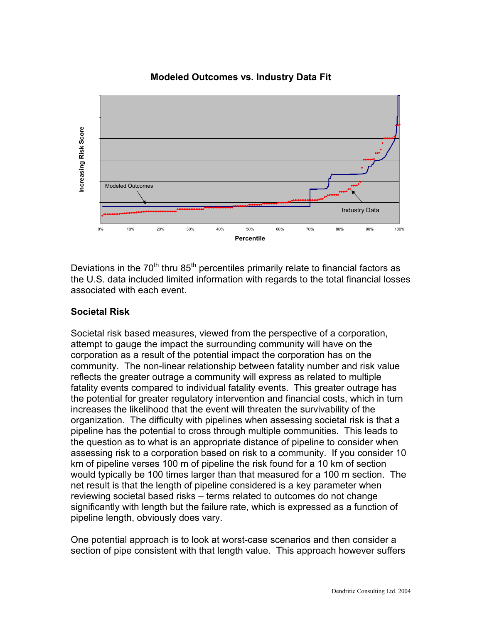

# **Modeled Outcomes vs. Industry Data Fit**

Deviations in the  $70<sup>th</sup>$  thru 85<sup>th</sup> percentiles primarily relate to financial factors as the U.S. data included limited information with regards to the total financial losses associated with each event.

# **Societal Risk**

Societal risk based measures, viewed from the perspective of a corporation, attempt to gauge the impact the surrounding community will have on the corporation as a result of the potential impact the corporation has on the community. The non-linear relationship between fatality number and risk value reflects the greater outrage a community will express as related to multiple fatality events compared to individual fatality events. This greater outrage has the potential for greater regulatory intervention and financial costs, which in turn increases the likelihood that the event will threaten the survivability of the organization. The difficulty with pipelines when assessing societal risk is that a pipeline has the potential to cross through multiple communities. This leads to the question as to what is an appropriate distance of pipeline to consider when assessing risk to a corporation based on risk to a community. If you consider 10 km of pipeline verses 100 m of pipeline the risk found for a 10 km of section would typically be 100 times larger than that measured for a 100 m section. The net result is that the length of pipeline considered is a key parameter when reviewing societal based risks – terms related to outcomes do not change significantly with length but the failure rate, which is expressed as a function of pipeline length, obviously does vary.

One potential approach is to look at worst-case scenarios and then consider a section of pipe consistent with that length value. This approach however suffers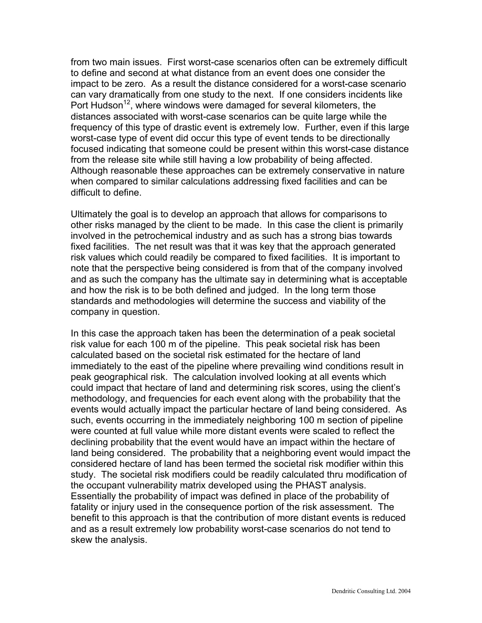from two main issues. First worst-case scenarios often can be extremely difficult to define and second at what distance from an event does one consider the impact to be zero. As a result the distance considered for a worst-case scenario can vary dramatically from one study to the next. If one considers incidents like Port Hudson<sup>12</sup>, where windows were damaged for several kilometers, the distances associated with worst-case scenarios can be quite large while the frequency of this type of drastic event is extremely low. Further, even if this large worst-case type of event did occur this type of event tends to be directionally focused indicating that someone could be present within this worst-case distance from the release site while still having a low probability of being affected. Although reasonable these approaches can be extremely conservative in nature when compared to similar calculations addressing fixed facilities and can be difficult to define.

Ultimately the goal is to develop an approach that allows for comparisons to other risks managed by the client to be made. In this case the client is primarily involved in the petrochemical industry and as such has a strong bias towards fixed facilities. The net result was that it was key that the approach generated risk values which could readily be compared to fixed facilities. It is important to note that the perspective being considered is from that of the company involved and as such the company has the ultimate say in determining what is acceptable and how the risk is to be both defined and judged. In the long term those standards and methodologies will determine the success and viability of the company in question.

In this case the approach taken has been the determination of a peak societal risk value for each 100 m of the pipeline. This peak societal risk has been calculated based on the societal risk estimated for the hectare of land immediately to the east of the pipeline where prevailing wind conditions result in peak geographical risk. The calculation involved looking at all events which could impact that hectare of land and determining risk scores, using the client's methodology, and frequencies for each event along with the probability that the events would actually impact the particular hectare of land being considered. As such, events occurring in the immediately neighboring 100 m section of pipeline were counted at full value while more distant events were scaled to reflect the declining probability that the event would have an impact within the hectare of land being considered. The probability that a neighboring event would impact the considered hectare of land has been termed the societal risk modifier within this study. The societal risk modifiers could be readily calculated thru modification of the occupant vulnerability matrix developed using the PHAST analysis. Essentially the probability of impact was defined in place of the probability of fatality or injury used in the consequence portion of the risk assessment. The benefit to this approach is that the contribution of more distant events is reduced and as a result extremely low probability worst-case scenarios do not tend to skew the analysis.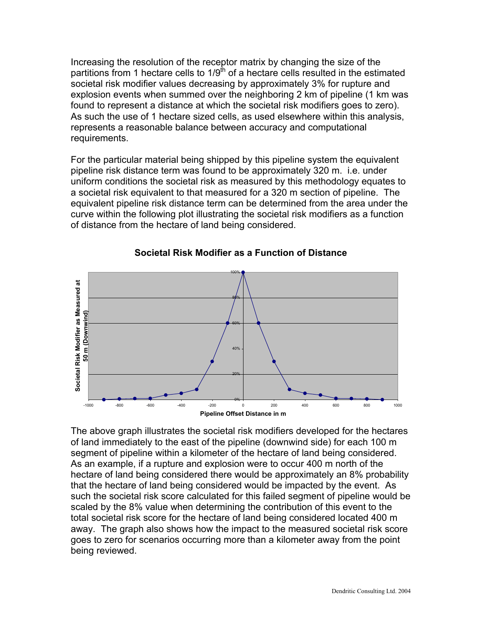Increasing the resolution of the receptor matrix by changing the size of the partitions from 1 hectare cells to  $1/9<sup>th</sup>$  of a hectare cells resulted in the estimated societal risk modifier values decreasing by approximately 3% for rupture and explosion events when summed over the neighboring 2 km of pipeline (1 km was found to represent a distance at which the societal risk modifiers goes to zero). As such the use of 1 hectare sized cells, as used elsewhere within this analysis, represents a reasonable balance between accuracy and computational requirements.

For the particular material being shipped by this pipeline system the equivalent pipeline risk distance term was found to be approximately 320 m. i.e. under uniform conditions the societal risk as measured by this methodology equates to a societal risk equivalent to that measured for a 320 m section of pipeline. The equivalent pipeline risk distance term can be determined from the area under the curve within the following plot illustrating the societal risk modifiers as a function of distance from the hectare of land being considered.



#### **Societal Risk Modifier as a Function of Distance**

The above graph illustrates the societal risk modifiers developed for the hectares of land immediately to the east of the pipeline (downwind side) for each 100 m segment of pipeline within a kilometer of the hectare of land being considered. As an example, if a rupture and explosion were to occur 400 m north of the hectare of land being considered there would be approximately an 8% probability that the hectare of land being considered would be impacted by the event. As such the societal risk score calculated for this failed segment of pipeline would be scaled by the 8% value when determining the contribution of this event to the total societal risk score for the hectare of land being considered located 400 m away. The graph also shows how the impact to the measured societal risk score goes to zero for scenarios occurring more than a kilometer away from the point being reviewed.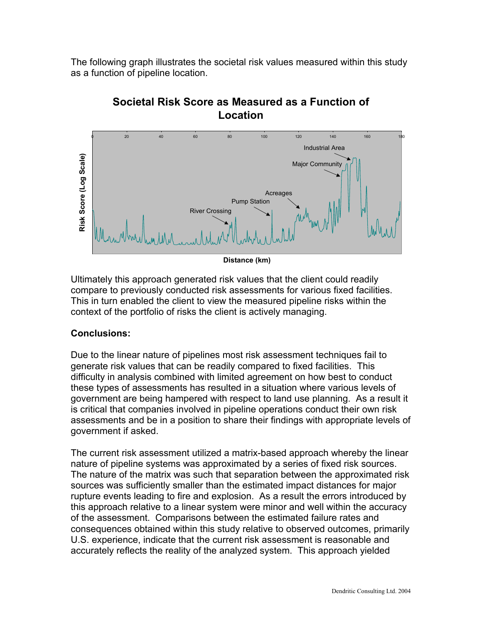The following graph illustrates the societal risk values measured within this study as a function of pipeline location.



**Societal Risk Score as Measured as a Function of Location**

Ultimately this approach generated risk values that the client could readily compare to previously conducted risk assessments for various fixed facilities. This in turn enabled the client to view the measured pipeline risks within the context of the portfolio of risks the client is actively managing.

# **Conclusions:**

Due to the linear nature of pipelines most risk assessment techniques fail to generate risk values that can be readily compared to fixed facilities. This difficulty in analysis combined with limited agreement on how best to conduct these types of assessments has resulted in a situation where various levels of government are being hampered with respect to land use planning. As a result it is critical that companies involved in pipeline operations conduct their own risk assessments and be in a position to share their findings with appropriate levels of government if asked.

The current risk assessment utilized a matrix-based approach whereby the linear nature of pipeline systems was approximated by a series of fixed risk sources. The nature of the matrix was such that separation between the approximated risk sources was sufficiently smaller than the estimated impact distances for major rupture events leading to fire and explosion. As a result the errors introduced by this approach relative to a linear system were minor and well within the accuracy of the assessment. Comparisons between the estimated failure rates and consequences obtained within this study relative to observed outcomes, primarily U.S. experience, indicate that the current risk assessment is reasonable and accurately reflects the reality of the analyzed system. This approach yielded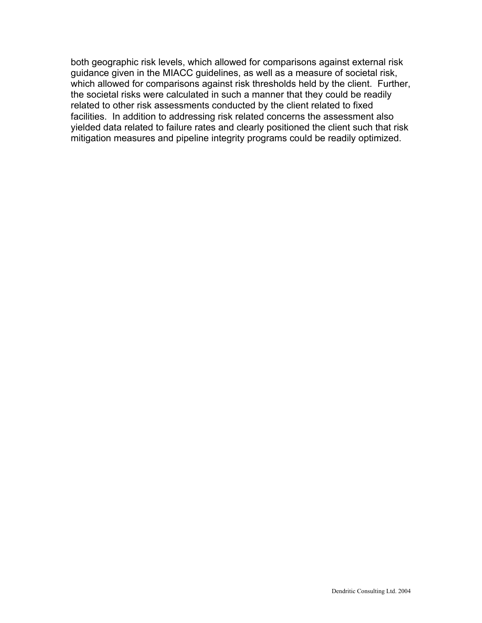both geographic risk levels, which allowed for comparisons against external risk guidance given in the MIACC guidelines, as well as a measure of societal risk, which allowed for comparisons against risk thresholds held by the client. Further, the societal risks were calculated in such a manner that they could be readily related to other risk assessments conducted by the client related to fixed facilities. In addition to addressing risk related concerns the assessment also yielded data related to failure rates and clearly positioned the client such that risk mitigation measures and pipeline integrity programs could be readily optimized.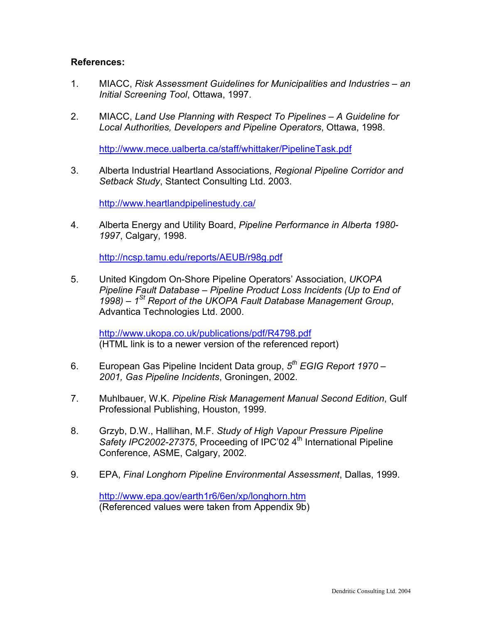#### **References:**

- 1. MIACC, *Risk Assessment Guidelines for Municipalities and Industries an Initial Screening Tool*, Ottawa, 1997.
- 2. MIACC, *Land Use Planning with Respect To Pipelines A Guideline for Local Authorities, Developers and Pipeline Operators*, Ottawa, 1998.

<http://www.mece.ualberta.ca/staff/whittaker/PipelineTask.pdf>

3. Alberta Industrial Heartland Associations, *Regional Pipeline Corridor and Setback Study*, Stantect Consulting Ltd. 2003.

<http://www.heartlandpipelinestudy.ca/>

4. Alberta Energy and Utility Board, *Pipeline Performance in Alberta 1980- 1997*, Calgary, 1998.

<http://ncsp.tamu.edu/reports/AEUB/r98g.pdf>

5. United Kingdom On-Shore Pipeline Operators' Association, *UKOPA Pipeline Fault Database – Pipeline Product Loss Incidents (Up to End of 1998) – 1St Report of the UKOPA Fault Database Management Group*, Advantica Technologies Ltd. 2000.

<http://www.ukopa.co.uk/publications/pdf/R4798.pdf> (HTML link is to a newer version of the referenced report)

- 6. European Gas Pipeline Incident Data group, *5th EGIG Report 1970 2001, Gas Pipeline Incidents*, Groningen, 2002.
- 7. Muhlbauer, W.K. *Pipeline Risk Management Manual Second Edition*, Gulf Professional Publishing, Houston, 1999.
- 8. Grzyb, D.W., Hallihan, M.F. *Study of High Vapour Pressure Pipeline*  Safety IPC2002-27375, Proceeding of IPC'02<sup>4th</sup> International Pipeline Conference, ASME, Calgary, 2002.
- 9. EPA, *Final Longhorn Pipeline Environmental Assessment*, Dallas, 1999.

<http://www.epa.gov/earth1r6/6en/xp/longhorn.htm> (Referenced values were taken from Appendix 9b)